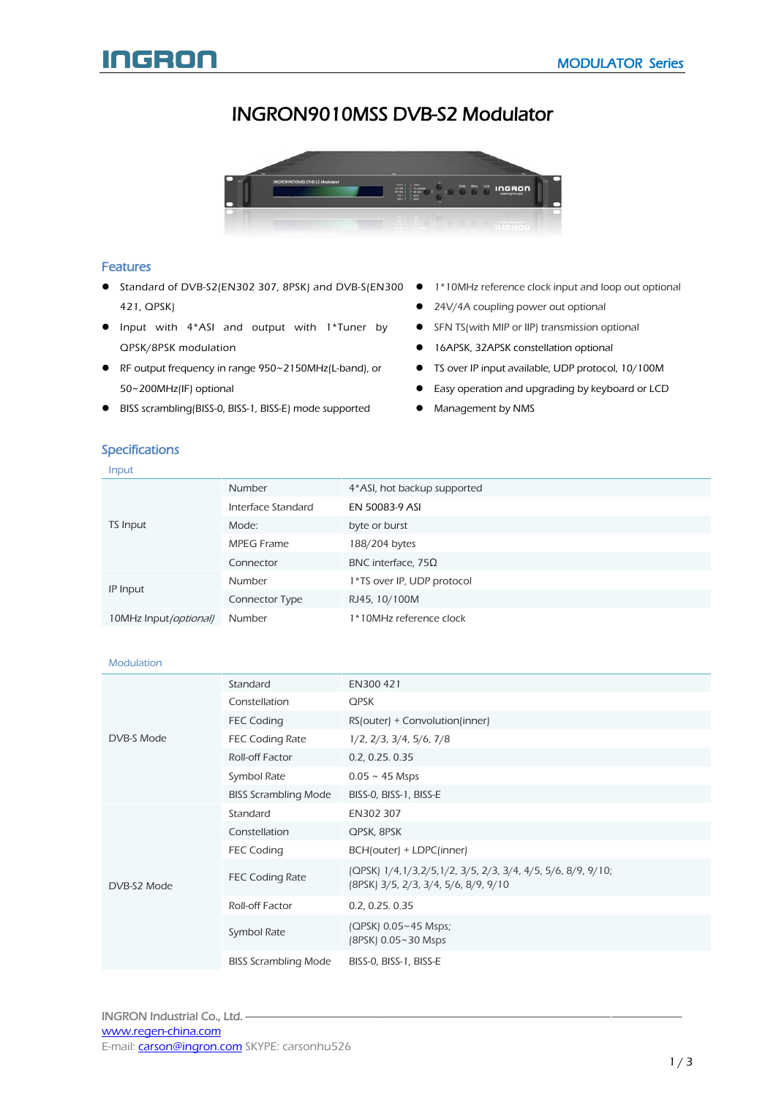# INGRON

# INGRON9010MSS DVB-S2 Modulator



### Features

- Standard of DVB-S2(EN302 307, 8PSK) and DVB-S(EN300 1\*10MHz reference clock input and loop out optional 421, QPSK)
- $\bullet$  Input with 4\*ASI and output with 1\*Tuner by QPSK/8PSK modulation
- RF output frequency in range 950~2150MHz(L-band), or 50~200MHz(IF) optional
- BISS scrambling(BISS-0, BISS-1, BISS-E) mode supported
- 
- 24V/4A coupling power out optional
- SFN TS(with MIP or IIP) transmission optional
- **16APSK, 32APSK constellation optional**
- TS over IP input available, UDP protocol, 10/100M
- Easy operation and upgrading by keyboard or LCD
- Management by NMS

### Specifications

| $\frac{1}{2}$ |       |  |
|---------------|-------|--|
|               | - - - |  |

| $\cdots$              |                    |                             |
|-----------------------|--------------------|-----------------------------|
| TS Input              | <b>Number</b>      | 4*ASI, hot backup supported |
|                       | Interface Standard | EN 50083-9 ASI              |
|                       | Mode:              | byte or burst               |
|                       | <b>MPEG Frame</b>  | 188/204 bytes               |
|                       | Connector          | BNC interface, 75 $\Omega$  |
| IP Input              | Number             | 1*TS over IP, UDP protocol  |
|                       | Connector Type     | RJ45, 10/100M               |
| 10MHz Input/optional/ | Number             | 1*10MHz reference clock     |
|                       |                    |                             |

#### Modulation

| DVB-S Mode  | Standard                    | EN300421                                                                                               |
|-------------|-----------------------------|--------------------------------------------------------------------------------------------------------|
|             | Constellation               | <b>QPSK</b>                                                                                            |
|             | <b>FEC Coding</b>           | RS(outer) + Convolution(inner)                                                                         |
|             | FEC Coding Rate             | $1/2$ , $2/3$ , $3/4$ , $5/6$ , $7/8$                                                                  |
|             | Roll-off Factor             | 0.2, 0.25, 0.35                                                                                        |
|             | Symbol Rate                 | $0.05 \sim 45$ Msps                                                                                    |
|             | <b>BISS Scrambling Mode</b> | BISS-0, BISS-1, BISS-E                                                                                 |
|             | Standard                    | EN302 307                                                                                              |
|             | Constellation               | QPSK, 8PSK                                                                                             |
|             | <b>FEC Coding</b>           | BCH(outer) + LDPC(inner)                                                                               |
| DVB-S2 Mode | <b>FEC Coding Rate</b>      | (QPSK) 1/4, 1/3, 2/5, 1/2, 3/5, 2/3, 3/4, 4/5, 5/6, 8/9, 9/10;<br>(8PSK) 3/5, 2/3, 3/4, 5/6, 8/9, 9/10 |
|             | Roll-off Factor             | 0.2, 0.25. 0.35                                                                                        |
|             | Symbol Rate                 | (QPSK) 0.05~45 Msps;<br>(8PSK) 0.05~30 Msps                                                            |
|             | <b>BISS Scrambling Mode</b> | BISS-0, BISS-1, BISS-E                                                                                 |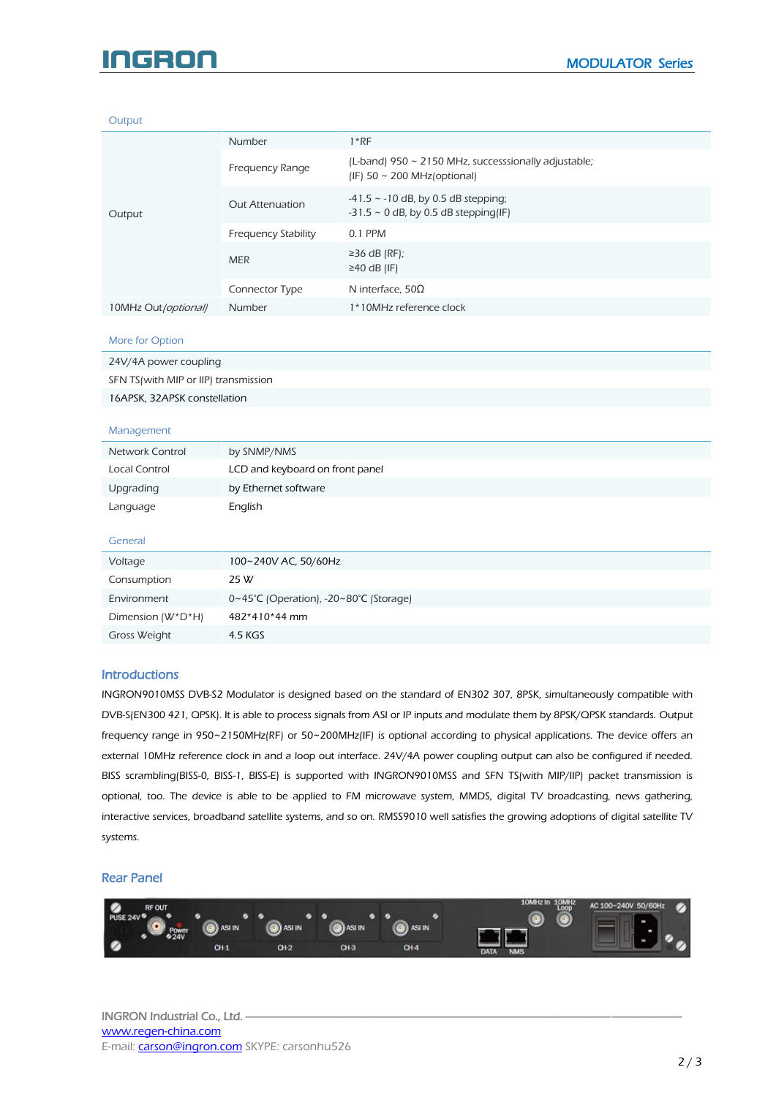# NGRON

#### **Output**

| Output              | Number                     | $1*RF$                                                                                    |
|---------------------|----------------------------|-------------------------------------------------------------------------------------------|
|                     | <b>Frequency Range</b>     | (L-band) 950 ~ 2150 MHz, successsionally adjustable;<br>(IF) $50 \sim 200$ MHz (optional) |
|                     | <b>Out Attenuation</b>     | $-41.5 \sim -10$ dB, by 0.5 dB stepping;<br>$-31.5 \sim 0$ dB, by 0.5 dB stepping(IF)     |
|                     | <b>Frequency Stability</b> | $0.1$ PPM                                                                                 |
|                     | <b>MER</b>                 | $\geq$ 36 dB (RF);<br>$\geq$ 40 dB (IF)                                                   |
|                     | Connector Type             | N interface, $50\Omega$                                                                   |
| 10MHz Out/optional) | Number                     | 1*10MHz reference clock                                                                   |
|                     |                            |                                                                                           |

#### More for Option

| 24V/4A power coupling                 |  |
|---------------------------------------|--|
| SFN TS (with MIP or IIP) transmission |  |
| 16APSK, 32APSK constellation          |  |
|                                       |  |

#### Management

| Network Control | by SNMP/NMS                     |
|-----------------|---------------------------------|
| Local Control   | LCD and keyboard on front panel |
| Upgrading       | by Ethernet software            |
| Language        | English                         |

#### **General**

| Voltage           | 100~240V AC, 50/60Hz                                        |
|-------------------|-------------------------------------------------------------|
| Consumption       | 25 W                                                        |
| Environment       | $0~45^{\circ}$ C (Operation), -20~80 $^{\circ}$ C (Storage) |
| Dimension (W*D*H) | 482*410*44 mm                                               |
| Gross Weight      | 4.5 KGS                                                     |

#### **Introductions**

INGRON9010MSS DVB-S2 Modulator is designed based on the standard of EN302 307, 8PSK, simultaneously compatible with DVB-S(EN300 421, QPSK). It is able to process signals from ASI or IP inputs and modulate them by 8PSK/QPSK standards. Output frequency range in 950~2150MHz(RF) or 50~200MHz(IF) is optional according to physical applications. The device offers an external 10MHz reference clock in and a loop out interface. 24V/4A power coupling output can also be configured if needed. BISS scrambling(BISS-0, BISS-1, BISS-E) is supported with INGRON9010MSS and SFN TS(with MIP/IIP) packet transmission is optional, too. The device is able to be applied to FM microwave system, MMDS, digital TV broadcasting, news gathering, interactive services, broadband satellite systems, and so on. RMSS9010 well satisfies the growing adoptions of digital satellite TV systems.

#### Rear Panel